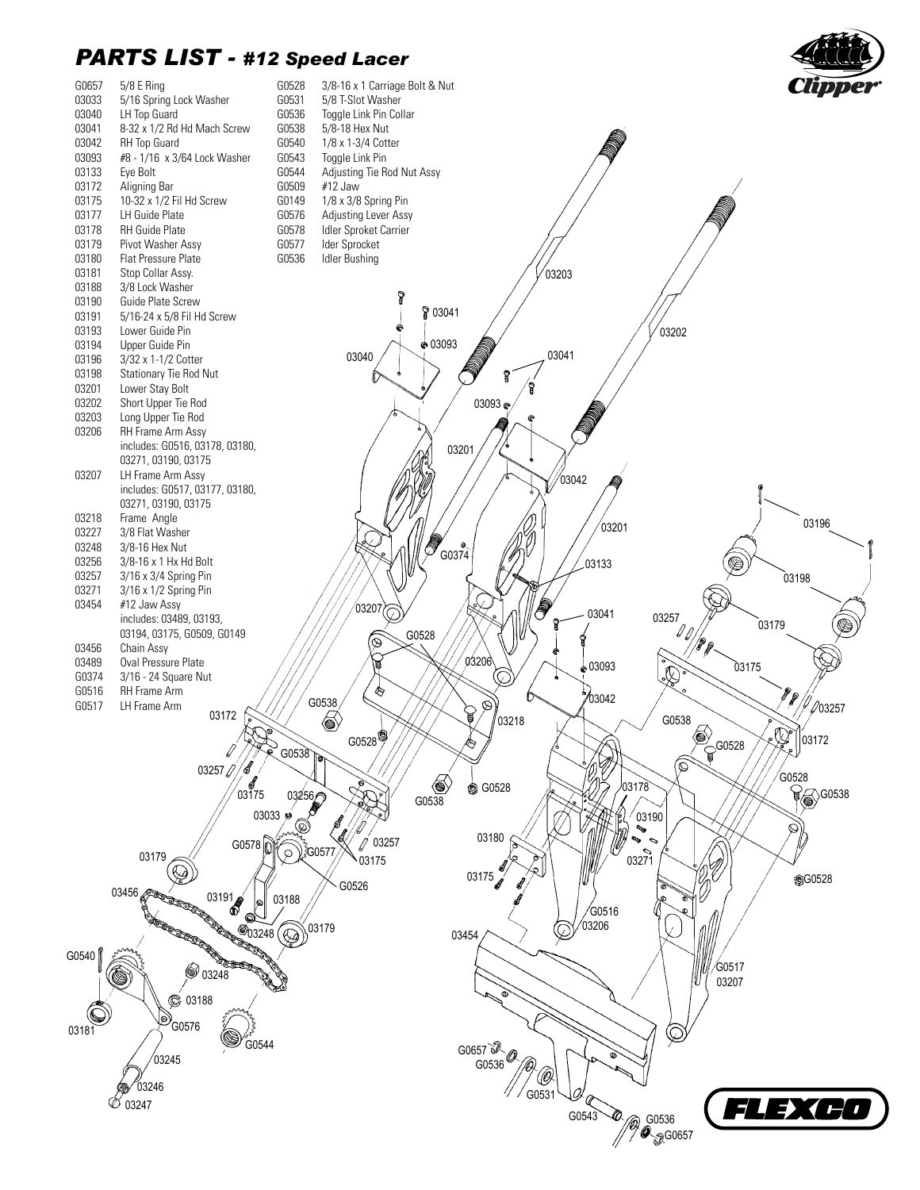